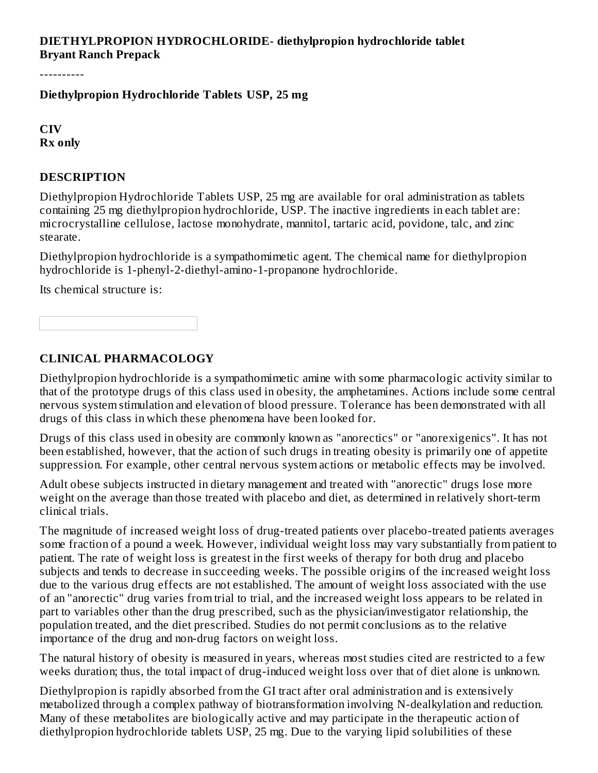### **DIETHYLPROPION HYDROCHLORIDE- diethylpropion hydrochloride tablet Bryant Ranch Prepack**

----------

**Diethylpropion Hydrochloride Tablets USP, 25 mg**

**CIV Rx only**

#### **DESCRIPTION**

Diethylpropion Hydrochloride Tablets USP, 25 mg are available for oral administration as tablets containing 25 mg diethylpropion hydrochloride, USP. The inactive ingredients in each tablet are: microcrystalline cellulose, lactose monohydrate, mannitol, tartaric acid, povidone, talc, and zinc stearate.

Diethylpropion hydrochloride is a sympathomimetic agent. The chemical name for diethylpropion hydrochloride is 1-phenyl-2-diethyl-amino-1-propanone hydrochloride.

Its chemical structure is:

#### **CLINICAL PHARMACOLOGY**

Diethylpropion hydrochloride is a sympathomimetic amine with some pharmacologic activity similar to that of the prototype drugs of this class used in obesity, the amphetamines. Actions include some central nervous system stimulation and elevation of blood pressure. Tolerance has been demonstrated with all drugs of this class in which these phenomena have been looked for.

Drugs of this class used in obesity are commonly known as "anorectics" or "anorexigenics". It has not been established, however, that the action of such drugs in treating obesity is primarily one of appetite suppression. For example, other central nervous system actions or metabolic effects may be involved.

Adult obese subjects instructed in dietary management and treated with "anorectic" drugs lose more weight on the average than those treated with placebo and diet, as determined in relatively short-term clinical trials.

The magnitude of increased weight loss of drug-treated patients over placebo-treated patients averages some fraction of a pound a week. However, individual weight loss may vary substantially from patient to patient. The rate of weight loss is greatest in the first weeks of therapy for both drug and placebo subjects and tends to decrease in succeeding weeks. The possible origins of the increased weight loss due to the various drug effects are not established. The amount of weight loss associated with the use of an "anorectic" drug varies from trial to trial, and the increased weight loss appears to be related in part to variables other than the drug prescribed, such as the physician/investigator relationship, the population treated, and the diet prescribed. Studies do not permit conclusions as to the relative importance of the drug and non-drug factors on weight loss.

The natural history of obesity is measured in years, whereas most studies cited are restricted to a few weeks duration; thus, the total impact of drug-induced weight loss over that of diet alone is unknown.

Diethylpropion is rapidly absorbed from the GI tract after oral administration and is extensively metabolized through a complex pathway of biotransformation involving N-dealkylation and reduction. Many of these metabolites are biologically active and may participate in the therapeutic action of diethylpropion hydrochloride tablets USP, 25 mg. Due to the varying lipid solubilities of these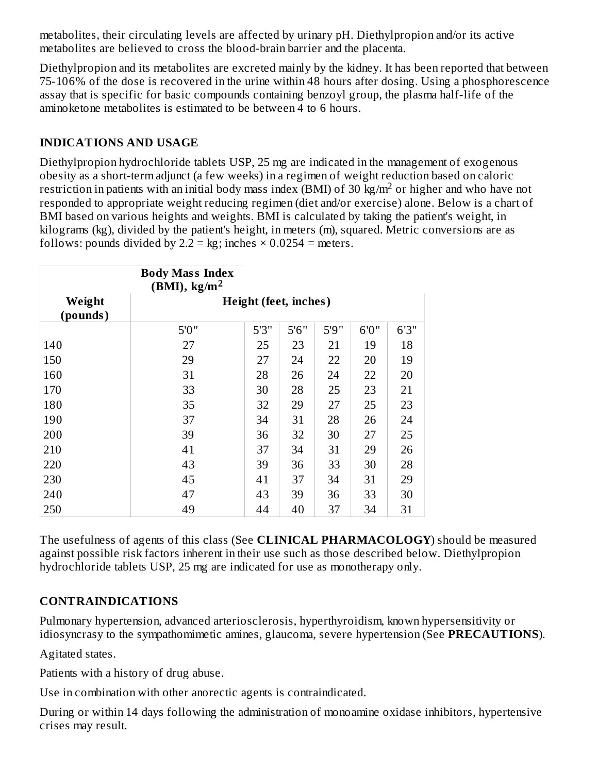metabolites, their circulating levels are affected by urinary pH. Diethylpropion and/or its active metabolites are believed to cross the blood-brain barrier and the placenta.

Diethylpropion and its metabolites are excreted mainly by the kidney. It has been reported that between 75-106% of the dose is recovered in the urine within 48 hours after dosing. Using a phosphorescence assay that is specific for basic compounds containing benzoyl group, the plasma half-life of the aminoketone metabolites is estimated to be between 4 to 6 hours.

## **INDICATIONS AND USAGE**

Diethylpropion hydrochloride tablets USP, 25 mg are indicated in the management of exogenous obesity as a short-term adjunct (a few weeks) in a regimen of weight reduction based on caloric restriction in patients with an initial body mass index (BMI) of 30  $\text{kg/m}^2$  or higher and who have not responded to appropriate weight reducing regimen (diet and/or exercise) alone. Below is a chart of BMI based on various heights and weights. BMI is calculated by taking the patient's weight, in kilograms (kg), divided by the patient's height, in meters (m), squared. Metric conversions are as follows: pounds divided by  $2.2 = kg$ ; inches  $\times$  0.0254 = meters.

|                    | <b>Body Mass Index</b><br>$(BMI)$ , kg/m <sup>2</sup> |       |       |       |       |       |
|--------------------|-------------------------------------------------------|-------|-------|-------|-------|-------|
| Weight<br>(pounds) | Height (feet, inches)                                 |       |       |       |       |       |
|                    | 5'0''                                                 | 5'3'' | 5'6'' | 5'9'' | 6'0'' | 6'3'' |
| 140                | 27                                                    | 25    | 23    | 21    | 19    | 18    |
| 150                | 29                                                    | 27    | 24    | 22    | 20    | 19    |
| 160                | 31                                                    | 28    | 26    | 24    | 22    | 20    |
| 170                | 33                                                    | 30    | 28    | 25    | 23    | 21    |
| 180                | 35                                                    | 32    | 29    | 27    | 25    | 23    |
| 190                | 37                                                    | 34    | 31    | 28    | 26    | 24    |
| 200                | 39                                                    | 36    | 32    | 30    | 27    | 25    |
| 210                | 41                                                    | 37    | 34    | 31    | 29    | 26    |
| 220                | 43                                                    | 39    | 36    | 33    | 30    | 28    |
| 230                | 45                                                    | 41    | 37    | 34    | 31    | 29    |
| 240                | 47                                                    | 43    | 39    | 36    | 33    | 30    |
| 250                | 49                                                    | 44    | 40    | 37    | 34    | 31    |

The usefulness of agents of this class (See **CLINICAL PHARMACOLOGY**) should be measured against possible risk factors inherent in their use such as those described below. Diethylpropion hydrochloride tablets USP, 25 mg are indicated for use as monotherapy only.

## **CONTRAINDICATIONS**

Pulmonary hypertension, advanced arteriosclerosis, hyperthyroidism, known hypersensitivity or idiosyncrasy to the sympathomimetic amines, glaucoma, severe hypertension (See **PRECAUTIONS**).

Agitated states.

Patients with a history of drug abuse.

Use in combination with other anorectic agents is contraindicated.

During or within 14 days following the administration of monoamine oxidase inhibitors, hypertensive crises may result.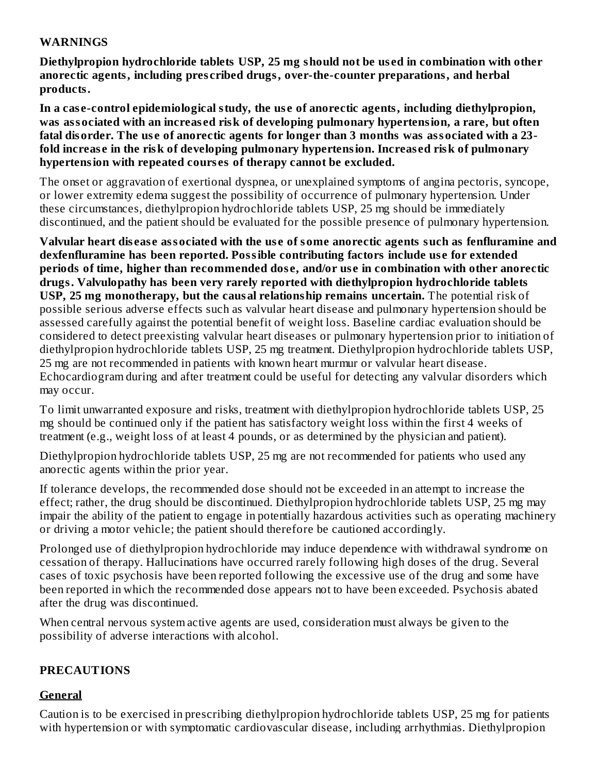#### **WARNINGS**

**Diethylpropion hydrochloride tablets USP, 25 mg should not be us ed in combination with other anorectic agents, including pres cribed drugs, over-the-counter preparations, and herbal products.**

**In a cas e-control epidemiological study, the us e of anorectic agents, including diethylpropion, was associated with an increas ed risk of developing pulmonary hypertension, a rare, but often fatal disorder. The us e of anorectic agents for longer than 3 months was associated with a 23 fold increas e in the risk of developing pulmonary hypertension. Increas ed risk of pulmonary hypertension with repeated cours es of therapy cannot be excluded.**

The onset or aggravation of exertional dyspnea, or unexplained symptoms of angina pectoris, syncope, or lower extremity edema suggest the possibility of occurrence of pulmonary hypertension. Under these circumstances, diethylpropion hydrochloride tablets USP, 25 mg should be immediately discontinued, and the patient should be evaluated for the possible presence of pulmonary hypertension.

Valvular heart disease associated with the use of some anorectic agents such as fenfluramine and **dexfenfluramine has been reported. Possible contributing factors include us e for extended periods of time, higher than recommended dos e, and/or us e in combination with other anorectic drugs. Valvulopathy has been very rarely reported with diethylpropion hydrochloride tablets USP, 25 mg monotherapy, but the causal relationship remains uncertain.** The potential risk of possible serious adverse effects such as valvular heart disease and pulmonary hypertension should be assessed carefully against the potential benefit of weight loss. Baseline cardiac evaluation should be considered to detect preexisting valvular heart diseases or pulmonary hypertension prior to initiation of diethylpropion hydrochloride tablets USP, 25 mg treatment. Diethylpropion hydrochloride tablets USP, 25 mg are not recommended in patients with known heart murmur or valvular heart disease. Echocardiogram during and after treatment could be useful for detecting any valvular disorders which may occur.

To limit unwarranted exposure and risks, treatment with diethylpropion hydrochloride tablets USP, 25 mg should be continued only if the patient has satisfactory weight loss within the first 4 weeks of treatment (e.g., weight loss of at least 4 pounds, or as determined by the physician and patient).

Diethylpropion hydrochloride tablets USP, 25 mg are not recommended for patients who used any anorectic agents within the prior year.

If tolerance develops, the recommended dose should not be exceeded in an attempt to increase the effect; rather, the drug should be discontinued. Diethylpropion hydrochloride tablets USP, 25 mg may impair the ability of the patient to engage in potentially hazardous activities such as operating machinery or driving a motor vehicle; the patient should therefore be cautioned accordingly.

Prolonged use of diethylpropion hydrochloride may induce dependence with withdrawal syndrome on cessation of therapy. Hallucinations have occurred rarely following high doses of the drug. Several cases of toxic psychosis have been reported following the excessive use of the drug and some have been reported in which the recommended dose appears not to have been exceeded. Psychosis abated after the drug was discontinued.

When central nervous system active agents are used, consideration must always be given to the possibility of adverse interactions with alcohol.

### **PRECAUTIONS**

## **General**

Caution is to be exercised in prescribing diethylpropion hydrochloride tablets USP, 25 mg for patients with hypertension or with symptomatic cardiovascular disease, including arrhythmias. Diethylpropion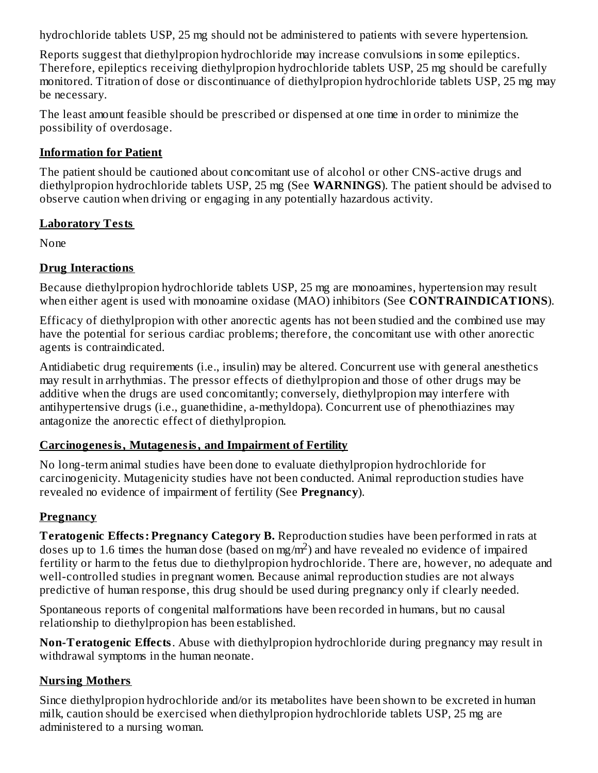hydrochloride tablets USP, 25 mg should not be administered to patients with severe hypertension.

Reports suggest that diethylpropion hydrochloride may increase convulsions in some epileptics. Therefore, epileptics receiving diethylpropion hydrochloride tablets USP, 25 mg should be carefully monitored. Titration of dose or discontinuance of diethylpropion hydrochloride tablets USP, 25 mg may be necessary.

The least amount feasible should be prescribed or dispensed at one time in order to minimize the possibility of overdosage.

#### **Information for Patient**

The patient should be cautioned about concomitant use of alcohol or other CNS-active drugs and diethylpropion hydrochloride tablets USP, 25 mg (See **WARNINGS**). The patient should be advised to observe caution when driving or engaging in any potentially hazardous activity.

#### **Laboratory Tests**

None

### **Drug Interactions**

Because diethylpropion hydrochloride tablets USP, 25 mg are monoamines, hypertension may result when either agent is used with monoamine oxidase (MAO) inhibitors (See **CONTRAINDICATIONS**).

Efficacy of diethylpropion with other anorectic agents has not been studied and the combined use may have the potential for serious cardiac problems; therefore, the concomitant use with other anorectic agents is contraindicated.

Antidiabetic drug requirements (i.e., insulin) may be altered. Concurrent use with general anesthetics may result in arrhythmias. The pressor effects of diethylpropion and those of other drugs may be additive when the drugs are used concomitantly; conversely, diethylpropion may interfere with antihypertensive drugs (i.e., guanethidine, a-methyldopa). Concurrent use of phenothiazines may antagonize the anorectic effect of diethylpropion.

### **Carcinogenesis, Mutagenesis, and Impairment of Fertility**

No long-term animal studies have been done to evaluate diethylpropion hydrochloride for carcinogenicity. Mutagenicity studies have not been conducted. Animal reproduction studies have revealed no evidence of impairment of fertility (See **Pregnancy**).

### **Pregnancy**

**Teratogenic Effects: Pregnancy Category B.** Reproduction studies have been performed in rats at doses up to 1.6 times the human dose (based on mg/m<sup>2</sup>) and have revealed no evidence of impaired fertility or harm to the fetus due to diethylpropion hydrochloride. There are, however, no adequate and well-controlled studies in pregnant women. Because animal reproduction studies are not always predictive of human response, this drug should be used during pregnancy only if clearly needed.

Spontaneous reports of congenital malformations have been recorded in humans, but no causal relationship to diethylpropion has been established.

**Non-Teratogenic Effects**. Abuse with diethylpropion hydrochloride during pregnancy may result in withdrawal symptoms in the human neonate.

## **Nursing Mothers**

Since diethylpropion hydrochloride and/or its metabolites have been shown to be excreted in human milk, caution should be exercised when diethylpropion hydrochloride tablets USP, 25 mg are administered to a nursing woman.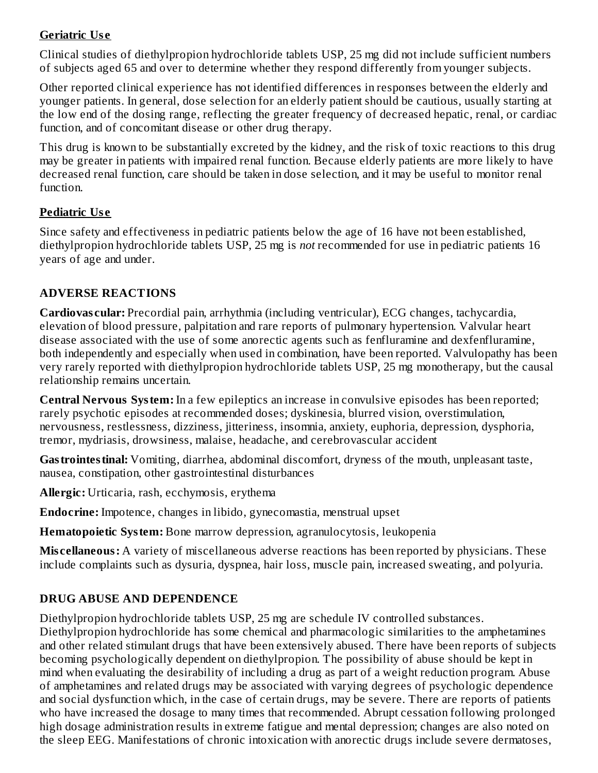### **Geriatric Us e**

Clinical studies of diethylpropion hydrochloride tablets USP, 25 mg did not include sufficient numbers of subjects aged 65 and over to determine whether they respond differently from younger subjects.

Other reported clinical experience has not identified differences in responses between the elderly and younger patients. In general, dose selection for an elderly patient should be cautious, usually starting at the low end of the dosing range, reflecting the greater frequency of decreased hepatic, renal, or cardiac function, and of concomitant disease or other drug therapy.

This drug is known to be substantially excreted by the kidney, and the risk of toxic reactions to this drug may be greater in patients with impaired renal function. Because elderly patients are more likely to have decreased renal function, care should be taken in dose selection, and it may be useful to monitor renal function.

### **Pediatric Us e**

Since safety and effectiveness in pediatric patients below the age of 16 have not been established, diethylpropion hydrochloride tablets USP, 25 mg is *not* recommended for use in pediatric patients 16 years of age and under.

### **ADVERSE REACTIONS**

**Cardiovas cular:** Precordial pain, arrhythmia (including ventricular), ECG changes, tachycardia, elevation of blood pressure, palpitation and rare reports of pulmonary hypertension. Valvular heart disease associated with the use of some anorectic agents such as fenfluramine and dexfenfluramine, both independently and especially when used in combination, have been reported. Valvulopathy has been very rarely reported with diethylpropion hydrochloride tablets USP, 25 mg monotherapy, but the causal relationship remains uncertain.

**Central Nervous System:** In a few epileptics an increase in convulsive episodes has been reported; rarely psychotic episodes at recommended doses; dyskinesia, blurred vision, overstimulation, nervousness, restlessness, dizziness, jitteriness, insomnia, anxiety, euphoria, depression, dysphoria, tremor, mydriasis, drowsiness, malaise, headache, and cerebrovascular accident

**Gastrointestinal:** Vomiting, diarrhea, abdominal discomfort, dryness of the mouth, unpleasant taste, nausea, constipation, other gastrointestinal disturbances

**Allergic:** Urticaria, rash, ecchymosis, erythema

**Endocrine:** Impotence, changes in libido, gynecomastia, menstrual upset

**Hematopoietic System:** Bone marrow depression, agranulocytosis, leukopenia

**Mis cellaneous:** A variety of miscellaneous adverse reactions has been reported by physicians. These include complaints such as dysuria, dyspnea, hair loss, muscle pain, increased sweating, and polyuria.

## **DRUG ABUSE AND DEPENDENCE**

Diethylpropion hydrochloride tablets USP, 25 mg are schedule IV controlled substances.

Diethylpropion hydrochloride has some chemical and pharmacologic similarities to the amphetamines and other related stimulant drugs that have been extensively abused. There have been reports of subjects becoming psychologically dependent on diethylpropion. The possibility of abuse should be kept in mind when evaluating the desirability of including a drug as part of a weight reduction program. Abuse of amphetamines and related drugs may be associated with varying degrees of psychologic dependence and social dysfunction which, in the case of certain drugs, may be severe. There are reports of patients who have increased the dosage to many times that recommended. Abrupt cessation following prolonged high dosage administration results in extreme fatigue and mental depression; changes are also noted on the sleep EEG. Manifestations of chronic intoxication with anorectic drugs include severe dermatoses,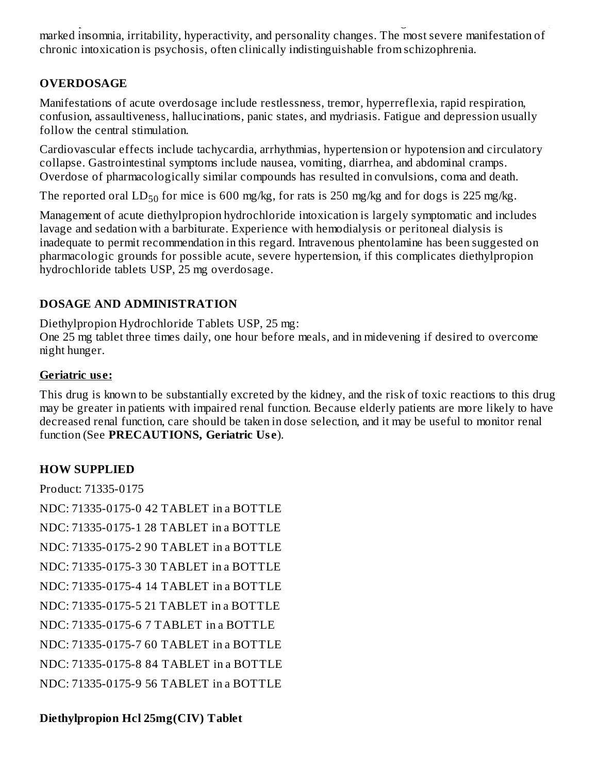the sleep EEG. Manifestations of chronic intoxication with anorectic drugs include severe dermatoses, marked insomnia, irritability, hyperactivity, and personality changes. The most severe manifestation of chronic intoxication is psychosis, often clinically indistinguishable from schizophrenia.

## **OVERDOSAGE**

Manifestations of acute overdosage include restlessness, tremor, hyperreflexia, rapid respiration, confusion, assaultiveness, hallucinations, panic states, and mydriasis. Fatigue and depression usually follow the central stimulation.

Cardiovascular effects include tachycardia, arrhythmias, hypertension or hypotension and circulatory collapse. Gastrointestinal symptoms include nausea, vomiting, diarrhea, and abdominal cramps. Overdose of pharmacologically similar compounds has resulted in convulsions, coma and death.

The reported oral  $LD_{50}$  for mice is 600 mg/kg, for rats is 250 mg/kg and for dogs is 225 mg/kg.

Management of acute diethylpropion hydrochloride intoxication is largely symptomatic and includes lavage and sedation with a barbiturate. Experience with hemodialysis or peritoneal dialysis is inadequate to permit recommendation in this regard. Intravenous phentolamine has been suggested on pharmacologic grounds for possible acute, severe hypertension, if this complicates diethylpropion hydrochloride tablets USP, 25 mg overdosage.

## **DOSAGE AND ADMINISTRATION**

Diethylpropion Hydrochloride Tablets USP, 25 mg:

One 25 mg tablet three times daily, one hour before meals, and in midevening if desired to overcome night hunger.

## **Geriatric us e:**

This drug is known to be substantially excreted by the kidney, and the risk of toxic reactions to this drug may be greater in patients with impaired renal function. Because elderly patients are more likely to have decreased renal function, care should be taken in dose selection, and it may be useful to monitor renal function (See **PRECAUTIONS, Geriatric Us e**).

## **HOW SUPPLIED**

Product: 71335-0175

NDC: 71335-0175-0 42 TABLET in a BOTTLE NDC: 71335-0175-1 28 TABLET in a BOTTLE NDC: 71335-0175-2 90 TABLET in a BOTTLE NDC: 71335-0175-3 30 TABLET in a BOTTLE NDC: 71335-0175-4 14 TABLET in a BOTTLE NDC: 71335-0175-5 21 TABLET in a BOTTLE NDC: 71335-0175-6 7 TABLET in a BOTTLE NDC: 71335-0175-7 60 TABLET in a BOTTLE NDC: 71335-0175-8 84 TABLET in a BOTTLE NDC: 71335-0175-9 56 TABLET in a BOTTLE

## **Diethylpropion Hcl 25mg(CIV) Tablet**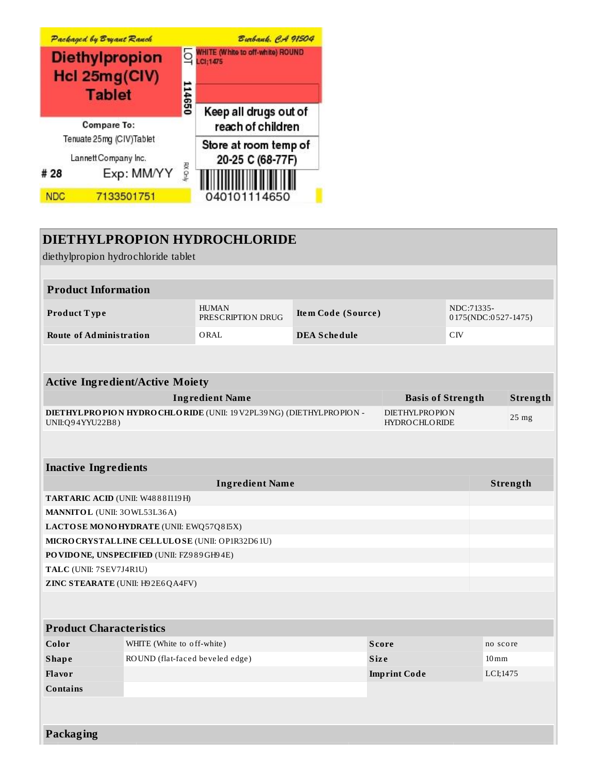

## **DIETHYLPROPION HYDROCHLORIDE**

diethylpropion hydrochloride tablet **Product Information Product T ype** HUMAN PRESCRIPTION DRUG **Ite m Code (Source )** NDC:71335- 0 175(NDC:0 527-1475) **Route of Administration** ORAL **DEA Sche dule** CIV **Active Ingredient/Active Moiety Ingredient Name Basis of Strength Strength DIETHYLPROPION HYDROCHLORIDE** (UNII: 19V2PL39NG) (DIETHYLPROPION - UNII:Q9 4YYU22B8 ) DIETHYLPROPION HYDROCHLORIDE 25 mg **Inactive Ingredients Ingredient Name Strength TARTARIC ACID** (UNII: W48 8 8 I119H) **MANNITOL** (UNII: 3OWL53L36A) **LACTOSE MONOHYDRATE** (UNII: EWQ57Q8 I5X) **MICROCRYSTALLINE CELLULOSE** (UNII: OP1R32D6 1U) **POVIDONE, UNSPECIFIED** (UNII: FZ9 8 9GH9 4E) **TALC** (UNII: 7SEV7J4R1U) **ZINC STEARATE** (UNII: H9 2E6QA4FV) **Product Characteristics Color Color WHITE** (White to off-white) **Score Score no** score **no** score **Shape** ROUND (flat-faced beveled edge) **Size Size Example 20 IOM Flavor Imprint Code** LCI;1475 **Contains Packaging**